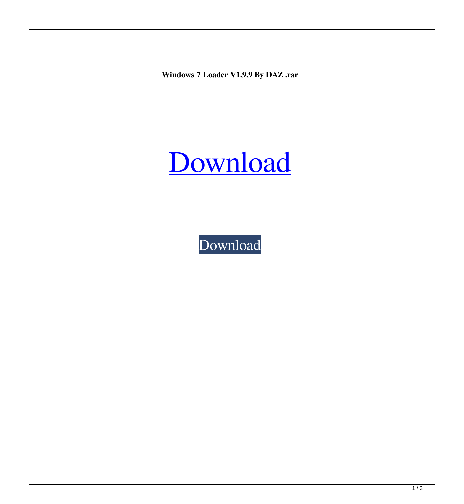**Windows 7 Loader V1.9.9 By DAZ .rar**



[Download](http://evacdir.com/jelled/baltimore.emule?ZG93bmxvYWR8Z2c2TWpSaWRueDhNVFkxTWpjME1EZzJObng4TWpVM05IeDhLRTBwSUhKbFlXUXRZbXh2WnlCYlJtRnpkQ0JIUlU1ZA=V2luZG93cyA3IExvYWRlciB2MS45LjkgYnkgREFaIC5yYXIV2l=&decrypted=hypoparathyroidism)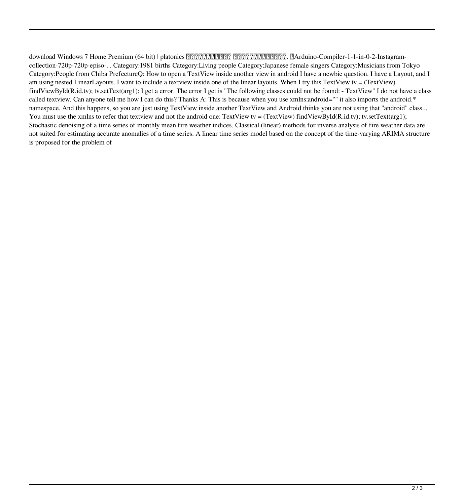download Windows 7 Home Premium (64 bit) | platonics 繧ェ繝ウ繝ゥ繝ッ繝ウョ 繝ォ繝。繝ゥ繝ケェ繝ウ繝ァ. シArduino-Compiler-1-1-in-0-2-Instagramcollection-720p-720p-episo-. . Category:1981 births Category:Living people Category:Japanese female singers Category:Musicians from Tokyo Category:People from Chiba PrefectureQ: How to open a TextView inside another view in android I have a newbie question. I have a Layout, and I am using nested LinearLayouts. I want to include a textview inside one of the linear layouts. When I try this TextView tv =  $(TextView)$ findViewById(R.id.tv); tv.setText(arg1); I get a error. The error I get is "The following classes could not be found: - TextView" I do not have a class called textview. Can anyone tell me how I can do this? Thanks A: This is because when you use xmlns:android="" it also imports the android.\* namespace. And this happens, so you are just using TextView inside another TextView and Android thinks you are not using that "android" class... You must use the xmlns to refer that textview and not the android one: TextView tv = (TextView) findViewById(R.id.tv); tv.setText(arg1); Stochastic denoising of a time series of monthly mean fire weather indices. Classical (linear) methods for inverse analysis of fire weather data are not suited for estimating accurate anomalies of a time series. A linear time series model based on the concept of the time-varying ARIMA structure is proposed for the problem of